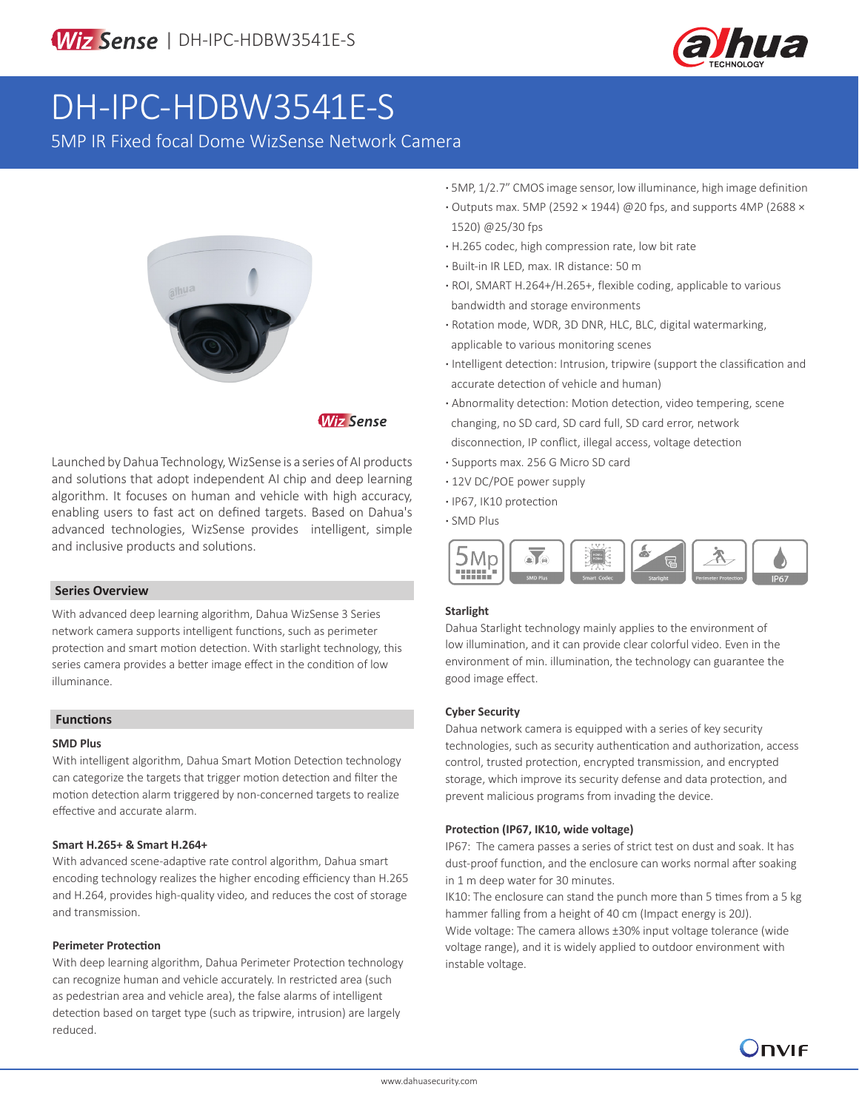

# DH-IPC-HDBW3541E-S

5MP IR Fixed focal Dome WizSense Network Camera



## **Wiz Sense**

Launched by Dahua Technology, WizSense is a series of AI products and solutions that adopt independent AI chip and deep learning algorithm. It focuses on human and vehicle with high accuracy, enabling users to fast act on defined targets. Based on Dahua's advanced technologies, WizSense provides intelligent, simple and inclusive products and solutions.

#### **Series Overview**

With advanced deep learning algorithm, Dahua WizSense 3 Series network camera supports intelligent functions, such as perimeter protection and smart motion detection. With starlight technology, this series camera provides a better image effect in the condition of low illuminance.

#### **Functions**

#### **SMD Plus**

With intelligent algorithm, Dahua Smart Motion Detection technology can categorize the targets that trigger motion detection and filter the motion detection alarm triggered by non-concerned targets to realize effective and accurate alarm.

#### **Smart H.265+ & Smart H.264+**

With advanced scene-adaptive rate control algorithm, Dahua smart encoding technology realizes the higher encoding efficiency than H.265 and H.264, provides high-quality video, and reduces the cost of storage and transmission.

#### **Perimeter Protection**

With deep learning algorithm, Dahua Perimeter Protection technology can recognize human and vehicle accurately. In restricted area (such as pedestrian area and vehicle area), the false alarms of intelligent detection based on target type (such as tripwire, intrusion) are largely reduced.

- **·** 5MP, 1/2.7" CMOS image sensor, low illuminance, high image definition
- **·** Outputs max. 5MP (2592 × 1944) @20 fps, and supports 4MP (2688 × 1520) @25/30 fps
- **·** H.265 codec, high compression rate, low bit rate
- **·** Built-in IR LED, max. IR distance: 50 m
- **·** ROI, SMART H.264+/H.265+, flexible coding, applicable to various bandwidth and storage environments
- **·** Rotation mode, WDR, 3D DNR, HLC, BLC, digital watermarking, applicable to various monitoring scenes
- **·** Intelligent detection: Intrusion, tripwire (support the classification and accurate detection of vehicle and human)
- **·** Abnormality detection: Motion detection, video tempering, scene changing, no SD card, SD card full, SD card error, network disconnection, IP conflict, illegal access, voltage detection
- **·** Supports max. 256 G Micro SD card
- **·** 12V DC/POE power supply
- **·** IP67, IK10 protection
- **·** SMD Plus



#### **Starlight**

Dahua Starlight technology mainly applies to the environment of low illumination, and it can provide clear colorful video. Even in the environment of min. illumination, the technology can guarantee the good image effect.

#### **Cyber Security**

Dahua network camera is equipped with a series of key security technologies, such as security authentication and authorization, access control, trusted protection, encrypted transmission, and encrypted storage, which improve its security defense and data protection, and prevent malicious programs from invading the device.

#### **Protection (IP67, IK10, wide voltage)**

IP67: The camera passes a series of strict test on dust and soak. It has dust-proof function, and the enclosure can works normal after soaking in 1 m deep water for 30 minutes.

IK10: The enclosure can stand the punch more than 5 times from a 5 kg hammer falling from a height of 40 cm (Impact energy is 20J). Wide voltage: The camera allows ±30% input voltage tolerance (wide voltage range), and it is widely applied to outdoor environment with instable voltage.

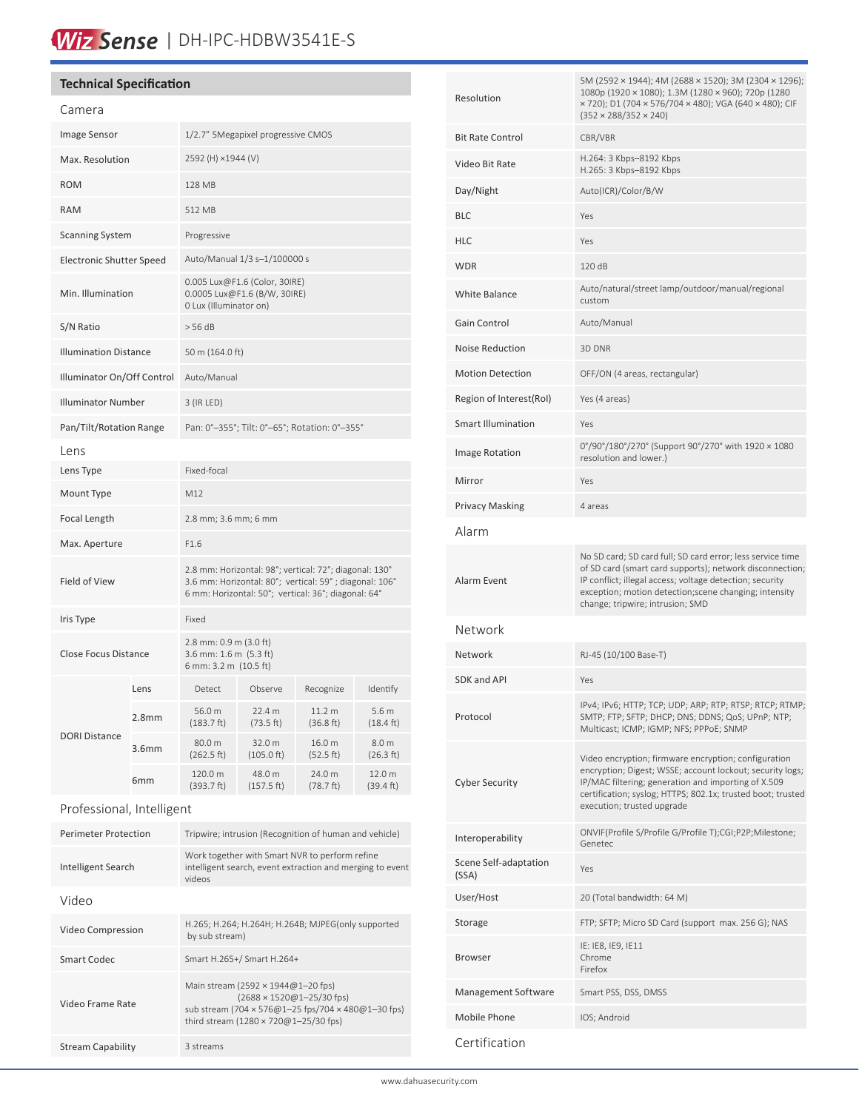# Wiz Sense | DH-IPC-HDBW3541E-S

# **Technical Specification**

| Camera                          |                   |                                                                                                                                                                         |                      |                     |                               |
|---------------------------------|-------------------|-------------------------------------------------------------------------------------------------------------------------------------------------------------------------|----------------------|---------------------|-------------------------------|
| Image Sensor                    |                   | 1/2.7" 5Megapixel progressive CMOS                                                                                                                                      |                      |                     |                               |
| Max. Resolution                 |                   | 2592 (H) ×1944 (V)                                                                                                                                                      |                      |                     |                               |
| <b>ROM</b>                      |                   | <b>128 MB</b>                                                                                                                                                           |                      |                     |                               |
| <b>RAM</b>                      |                   | 512 MB                                                                                                                                                                  |                      |                     |                               |
| <b>Scanning System</b>          |                   | Progressive                                                                                                                                                             |                      |                     |                               |
| <b>Electronic Shutter Speed</b> |                   | Auto/Manual 1/3 s-1/100000 s                                                                                                                                            |                      |                     |                               |
| Min. Illumination               |                   | 0.005 Lux@F1.6 (Color, 30IRE)<br>0.0005 Lux@F1.6 (B/W, 30IRE)<br>0 Lux (Illuminator on)                                                                                 |                      |                     |                               |
| S/N Ratio                       |                   | > 56 dB                                                                                                                                                                 |                      |                     |                               |
| <b>Illumination Distance</b>    |                   | 50 m (164.0 ft)                                                                                                                                                         |                      |                     |                               |
| Illuminator On/Off Control      |                   | Auto/Manual                                                                                                                                                             |                      |                     |                               |
| <b>Illuminator Number</b>       |                   | 3 (IR LED)                                                                                                                                                              |                      |                     |                               |
| Pan/Tilt/Rotation Range         |                   | Pan: 0°-355°; Tilt: 0°-65°; Rotation: 0°-355°                                                                                                                           |                      |                     |                               |
| Lens                            |                   |                                                                                                                                                                         |                      |                     |                               |
| Lens Type                       |                   | Fixed-focal                                                                                                                                                             |                      |                     |                               |
| Mount Type                      |                   | M12                                                                                                                                                                     |                      |                     |                               |
| Focal Length                    |                   | 2.8 mm; 3.6 mm; 6 mm                                                                                                                                                    |                      |                     |                               |
| Max. Aperture                   |                   | F1.6                                                                                                                                                                    |                      |                     |                               |
| Field of View                   |                   | 2.8 mm: Horizontal: 98°; vertical: 72°; diagonal: 130°<br>3.6 mm: Horizontal: 80°; vertical: 59°; diagonal: 106°<br>6 mm: Horizontal: 50°; vertical: 36°; diagonal: 64° |                      |                     |                               |
| Iris Type                       |                   | Fixed                                                                                                                                                                   |                      |                     |                               |
| <b>Close Focus Distance</b>     |                   | 2.8 mm: 0.9 m (3.0 ft)<br>3.6 mm: 1.6 m (5.3 ft)<br>6 mm: 3.2 m (10.5 ft)                                                                                               |                      |                     |                               |
|                                 | Lens              | Detect                                                                                                                                                                  | Observe              | Recognize           | Identify                      |
| <b>DORI Distance</b>            | 2.8 <sub>mm</sub> | 56.0 m<br>(183.7 ft)                                                                                                                                                    | 22.4 m<br>(73.5 ft)  | 11.2 m<br>(36.8 ft) | 5.6 <sub>m</sub><br>(18.4 ft) |
|                                 | 3.6 <sub>mm</sub> | 80.0 m<br>(262.5 ft)                                                                                                                                                    | 32.0 m<br>(105.0 ft) | 16.0 m<br>(52.5 ft) | 8.0 m<br>(26.3 ft)            |
|                                 | 6mm               | 120.0 m<br>(393.7 ft)                                                                                                                                                   | 48.0 m<br>(157.5 ft) | 24.0 m<br>(78.7 ft) | 12.0 m<br>(39.4 ft)           |
| Professional, Intelligent       |                   |                                                                                                                                                                         |                      |                     |                               |
| <b>Dorimotor Drotoction</b>     |                   | Trinuiro: intrucion (Becognition of buman and vobiele)                                                                                                                  |                      |                     |                               |

| Tripwire; intrusion (Recognition of human and vehicle)                                                                                                                                |  |  |
|---------------------------------------------------------------------------------------------------------------------------------------------------------------------------------------|--|--|
| Work together with Smart NVR to perform refine<br>intelligent search, event extraction and merging to event<br>videos                                                                 |  |  |
|                                                                                                                                                                                       |  |  |
| H.265; H.264; H.264H; H.264B; MJPEG(only supported<br>by sub stream)                                                                                                                  |  |  |
| Smart H.265+/ Smart H.264+                                                                                                                                                            |  |  |
| Main stream (2592 $\times$ 1944@1-20 fps)<br>$(2688 \times 1520@1 - 25/30$ fps)<br>sub stream (704 x 576@1-25 fps/704 x 480@1-30 fps)<br>third stream (1280 $\times$ 720@1-25/30 fps) |  |  |
| 3 streams                                                                                                                                                                             |  |  |
|                                                                                                                                                                                       |  |  |

| Resolution                     | 5M (2592 × 1944); 4M (2688 × 1520); 3M (2304 × 1296);<br>1080p (1920 × 1080); 1.3M (1280 × 960); 720p (1280<br>× 720); D1 (704 × 576/704 × 480); VGA (640 × 480); CIF<br>$(352 \times 288/352 \times 240)$                                                                       |  |  |
|--------------------------------|----------------------------------------------------------------------------------------------------------------------------------------------------------------------------------------------------------------------------------------------------------------------------------|--|--|
| <b>Bit Rate Control</b>        | CBR/VBR                                                                                                                                                                                                                                                                          |  |  |
| Video Bit Rate                 | H.264: 3 Kbps-8192 Kbps<br>H.265: 3 Kbps-8192 Kbps                                                                                                                                                                                                                               |  |  |
| Day/Night                      | Auto(ICR)/Color/B/W                                                                                                                                                                                                                                                              |  |  |
| <b>BLC</b>                     | Yes                                                                                                                                                                                                                                                                              |  |  |
| HLC                            | Yes                                                                                                                                                                                                                                                                              |  |  |
| <b>WDR</b>                     | 120 dB                                                                                                                                                                                                                                                                           |  |  |
| White Balance                  | Auto/natural/street lamp/outdoor/manual/regional<br>custom                                                                                                                                                                                                                       |  |  |
| Gain Control                   | Auto/Manual                                                                                                                                                                                                                                                                      |  |  |
| Noise Reduction                | 3D DNR                                                                                                                                                                                                                                                                           |  |  |
| <b>Motion Detection</b>        | OFF/ON (4 areas, rectangular)                                                                                                                                                                                                                                                    |  |  |
| Region of Interest(RoI)        | Yes (4 areas)                                                                                                                                                                                                                                                                    |  |  |
| <b>Smart Illumination</b>      | Yes                                                                                                                                                                                                                                                                              |  |  |
| Image Rotation                 | 0°/90°/180°/270° (Support 90°/270° with 1920 × 1080<br>resolution and lower.)                                                                                                                                                                                                    |  |  |
| Mirror                         | Yes                                                                                                                                                                                                                                                                              |  |  |
| Privacy Masking                | 4 areas                                                                                                                                                                                                                                                                          |  |  |
| Alarm                          |                                                                                                                                                                                                                                                                                  |  |  |
| Alarm Event                    | No SD card; SD card full; SD card error; less service time<br>of SD card (smart card supports); network disconnection;<br>IP conflict; illegal access; voltage detection; security<br>exception; motion detection; scene changing; intensity<br>change; tripwire; intrusion; SMD |  |  |
| Network                        |                                                                                                                                                                                                                                                                                  |  |  |
| Network                        | RJ-45 (10/100 Base-T)                                                                                                                                                                                                                                                            |  |  |
| SDK and API                    | Yes                                                                                                                                                                                                                                                                              |  |  |
| Protocol                       | IPv4; IPv6; HTTP; TCP; UDP; ARP; RTP; RTSP; RTCP; RTMP;<br>SMTP; FTP; SFTP; DHCP; DNS; DDNS; QoS; UPnP; NTP;<br>Multicast; ICMP; IGMP; NFS; PPPoE; SNMP                                                                                                                          |  |  |
| <b>Cyber Security</b>          | Video encryption; firmware encryption; configuration<br>encryption; Digest; WSSE; account lockout; security logs;<br>IP/MAC filtering; generation and importing of X.509<br>certification; syslog; HTTPS; 802.1x; trusted boot; trusted<br>execution; trusted upgrade            |  |  |
| Interoperability               | ONVIF(Profile S/Profile G/Profile T);CGI;P2P;Milestone;<br>Genetec                                                                                                                                                                                                               |  |  |
| Scene Self-adaptation<br>(SSA) | Yes                                                                                                                                                                                                                                                                              |  |  |
| User/Host                      | 20 (Total bandwidth: 64 M)                                                                                                                                                                                                                                                       |  |  |
| Storage                        | FTP; SFTP; Micro SD Card (support max. 256 G); NAS                                                                                                                                                                                                                               |  |  |
| Browser                        | IE: IE8, IE9, IE11<br>Chrome<br>Firefox                                                                                                                                                                                                                                          |  |  |
| Management Software            | Smart PSS, DSS, DMSS                                                                                                                                                                                                                                                             |  |  |
| Mobile Phone                   | IOS; Android                                                                                                                                                                                                                                                                     |  |  |
| Certification                  |                                                                                                                                                                                                                                                                                  |  |  |